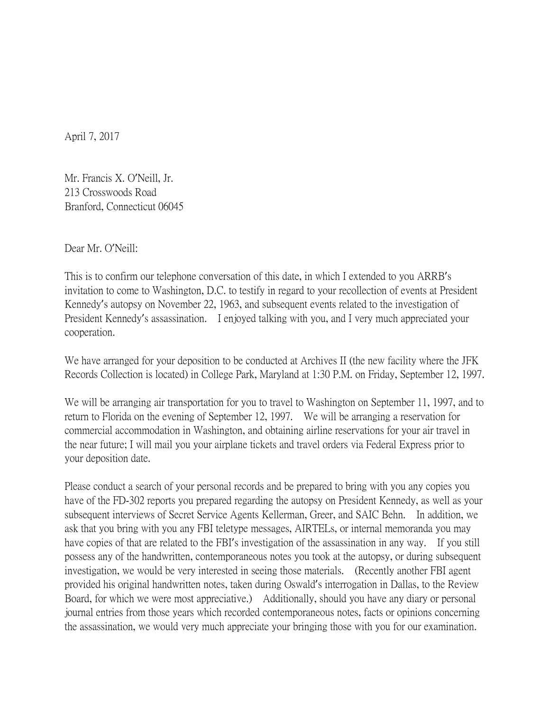April 7, 2017

Mr. Francis X. O'Neill, Jr. 213 Crosswoods Road Branford, Connecticut 06045

Dear Mr. O'Neill:

This is to confirm our telephone conversation of this date, in which I extended to you ARRB's invitation to come to Washington, D.C. to testify in regard to your recollection of events at President Kennedy's autopsy on November 22, 1963, and subsequent events related to the investigation of President Kennedy's assassination. I enjoyed talking with you, and I very much appreciated your cooperation.

We have arranged for your deposition to be conducted at Archives II (the new facility where the JFK Records Collection is located) in College Park, Maryland at 1:30 P.M. on Friday, September 12, 1997.

We will be arranging air transportation for you to travel to Washington on September 11, 1997, and to return to Florida on the evening of September 12, 1997. We will be arranging a reservation for commercial accommodation in Washington, and obtaining airline reservations for your air travel in the near future; I will mail you your airplane tickets and travel orders via Federal Express prior to your deposition date.

Please conduct a search of your personal records and be prepared to bring with you any copies you have of the FD-302 reports you prepared regarding the autopsy on President Kennedy, as well as your subsequent interviews of Secret Service Agents Kellerman, Greer, and SAIC Behn. In addition, we ask that you bring with you any FBI teletype messages, AIRTELs, or internal memoranda you may have copies of that are related to the FBI's investigation of the assassination in any way. If you still possess any of the handwritten, contemporaneous notes you took at the autopsy, or during subsequent investigation, we would be very interested in seeing those materials. (Recently another FBI agent provided his original handwritten notes, taken during Oswald's interrogation in Dallas, to the Review Board, for which we were most appreciative.) Additionally, should you have any diary or personal journal entries from those years which recorded contemporaneous notes, facts or opinions concerning the assassination, we would very much appreciate your bringing those with you for our examination.